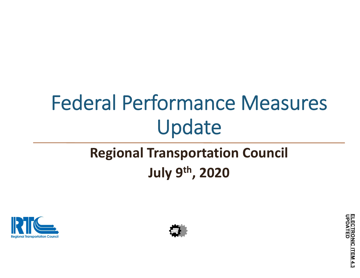# Federal Performance Measures Update

### **Regional Transportation Council July 9th, 2020**





ELECTRONIC ITEM 4.3<br>UPDATED **ELECTRONIC ITEM 4.3**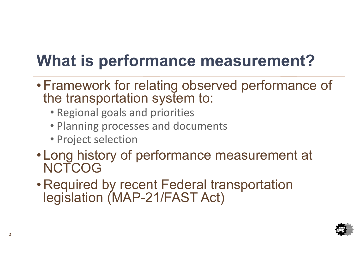## **What is performance measurement?**

- Framework for relating observed performance of the transportation system to:
	- Regional goals and priorities
	- Planning processes and documents
	- Project selection
- Long history of performance measurement at **NCTCOG**
- Required by recent Federal transportation legislation (MAP-21/FAST Act)

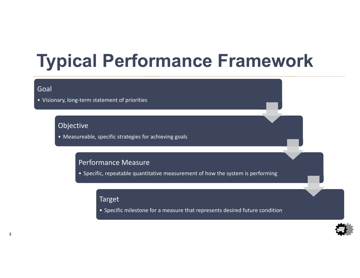# **Typical Performance Framework**

#### Goal

• Visionary, long‐term statement of priorities

#### Objective

• Measureable, specific strategies for achieving goals

#### Performance Measure

• Specific, repeatable quantitative measurement of how the system is performing

#### Target

• Specific milestone for a measure that represents desired future condition

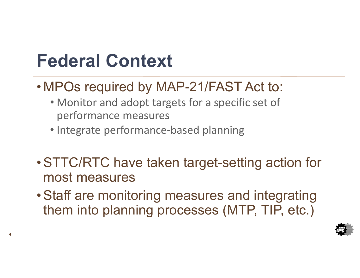## **Federal Context**

**4**

- MPOs required by MAP-21/FAST Act to:
	- Monitor and adopt targets for a specific set of performance measures
	- Integrate performance‐based planning
- STTC/RTC have taken target-setting action for most measures
- Staff are monitoring measures and integrating them into planning processes (MTP, TIP, etc.)

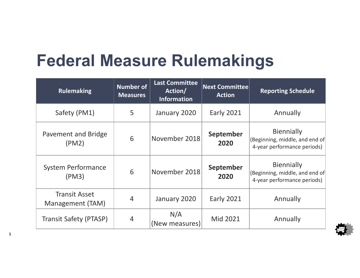### **Federal Measure Rulemakings**

| <b>Rulemaking</b>                        | <b>Number of</b><br><b>Measures</b> | <b>Last Committee</b><br>Action/<br><b>Information</b> | <b>Next Committee</b><br><b>Action</b> | <b>Reporting Schedule</b>                                                          |
|------------------------------------------|-------------------------------------|--------------------------------------------------------|----------------------------------------|------------------------------------------------------------------------------------|
| Safety (PM1)                             | 5                                   | January 2020                                           | <b>Early 2021</b>                      | Annually                                                                           |
| Pavement and Bridge<br>(PM2)             | 6                                   | November 2018                                          | <b>September</b><br>2020               | <b>Biennially</b><br>(Beginning, middle, and end of<br>4-year performance periods) |
| <b>System Performance</b><br>(PM3)       | 6                                   | November 2018                                          | September<br>2020                      | <b>Biennially</b><br>(Beginning, middle, and end of<br>4-year performance periods) |
| <b>Transit Asset</b><br>Management (TAM) | 4                                   | January 2020                                           | <b>Early 2021</b>                      | Annually                                                                           |
| <b>Transit Safety (PTASP)</b>            | 4                                   | N/A<br>(New measures)                                  | Mid 2021                               | Annually                                                                           |

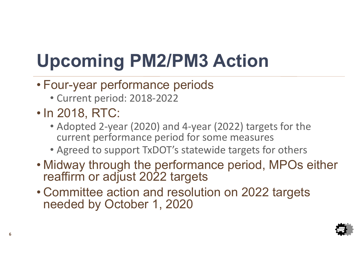# **Upcoming PM2/PM3 Action**

- Four-year performance periods
	- Current period: 2018‐2022
- In 2018, RTC:
	- Adopted 2‐year (2020) and 4‐year (2022) targets for the current performance period for some measures
	- Agreed to support TxDOT's statewide targets for others
- Midway through the performance period, MPOs either reaffirm or adjust 2022 targets
- Committee action and resolution on 2022 targets needed by October 1, 2020

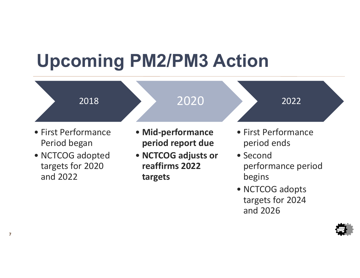# **Upcoming PM2/PM3 Action**



• NCTCOG adopts targets for 2024 and 2026

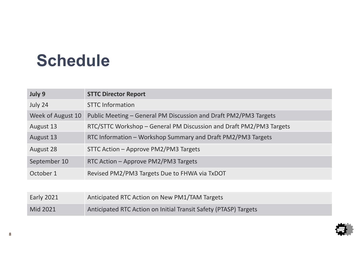### **Schedule**

| July 9            | <b>STTC Director Report</b>                                         |
|-------------------|---------------------------------------------------------------------|
| July 24           | <b>STTC Information</b>                                             |
| Week of August 10 | Public Meeting - General PM Discussion and Draft PM2/PM3 Targets    |
| August 13         | RTC/STTC Workshop - General PM Discussion and Draft PM2/PM3 Targets |
| August 13         | RTC Information - Workshop Summary and Draft PM2/PM3 Targets        |
| August 28         | STTC Action - Approve PM2/PM3 Targets                               |
| September 10      | RTC Action - Approve PM2/PM3 Targets                                |
| October 1         | Revised PM2/PM3 Targets Due to FHWA via TxDOT                       |
|                   |                                                                     |

| <b>Early 2021</b> | Anticipated RTC Action on New PM1/TAM Targets                    |
|-------------------|------------------------------------------------------------------|
| Mid 2021          | Anticipated RTC Action on Initial Transit Safety (PTASP) Targets |